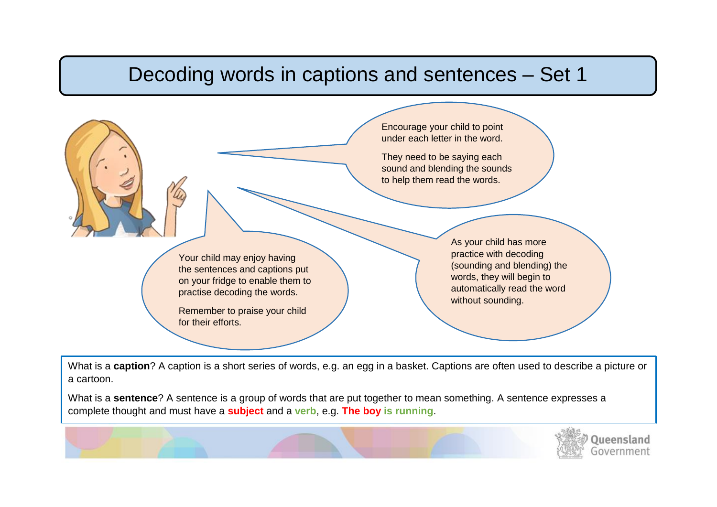## Decoding words in captions and sentences – Set 1

I.

 $\overline{\phantom{0}}$ 



What is a **caption**? A caption is a short series of words, e.g. an egg in a basket. Captions are often used to describe a picture or a cartoon.

What is a **sentence**? A sentence is a group of words that are put together to mean something. A sentence expresses a complete thought and must have a **subject** and a **verb**, e.g. **The boy is running**.

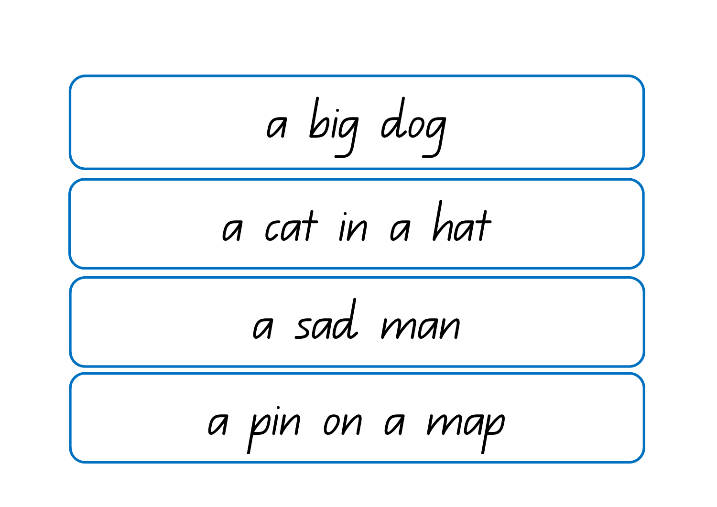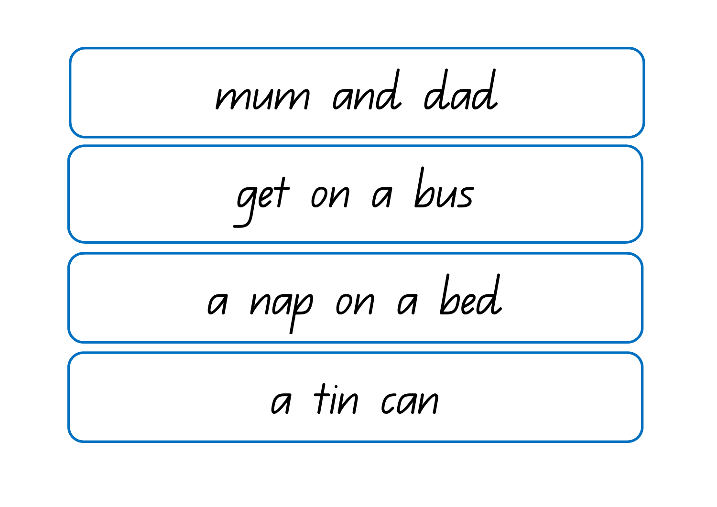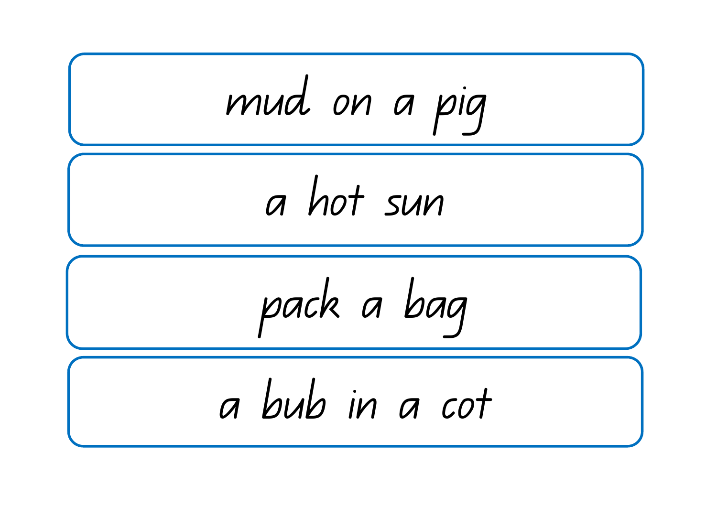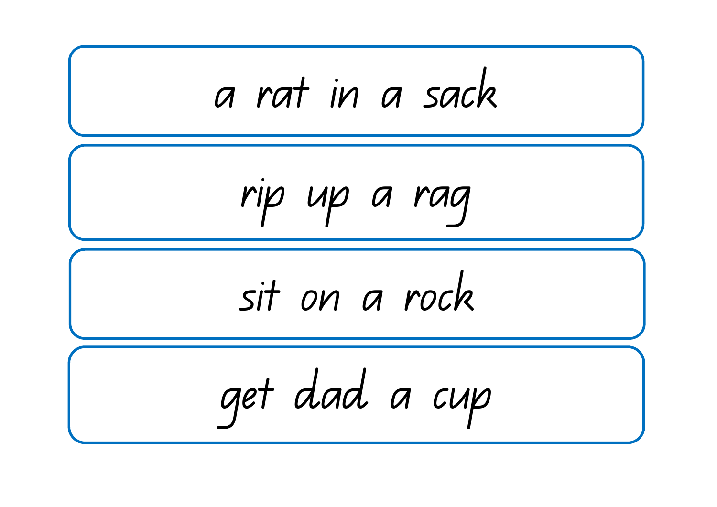